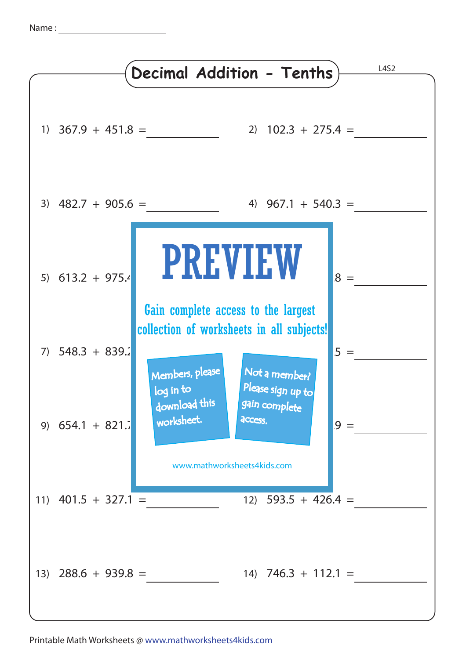